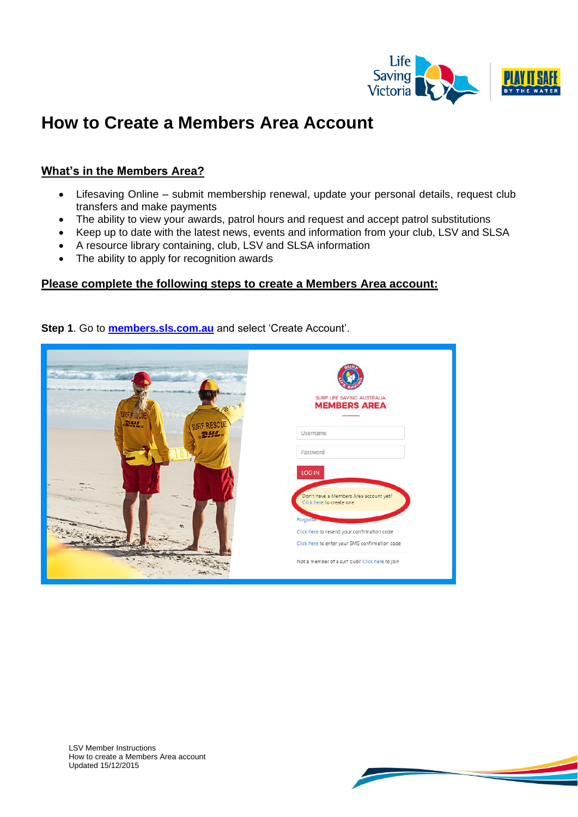

# **How to Create a Members Area Account**

### **What's in the Members Area?**

- Lifesaving Online submit membership renewal, update your personal details, request club transfers and make payments
- The ability to view your awards, patrol hours and request and accept patrol substitutions
- Keep up to date with the latest news, events and information from your club, LSV and SLSA
- A resource library containing, club, LSV and SLSA information
- The ability to apply for recognition awards

#### **Please complete the following steps to create a Members Area account:**

**Step 1**. Go to **[members.sls.com.au](https://portal.sls.com.au/wps/portal/member/!ut/p/b0/04_Sj9CPykssy0xPLMnMz0vMAfGjzOKNXEL9vL3dDQ3czVycDTxd3YwDPNxDjA2CzfQLsh0VAWuJgG4!/)** and select 'Create Account'.



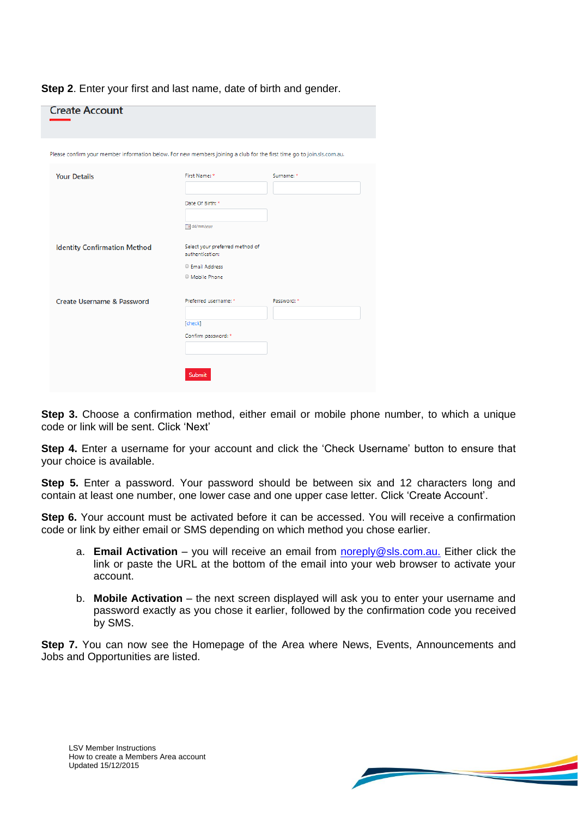|  | Step 2. Enter your first and last name, date of birth and gender. |  |  |  |  |
|--|-------------------------------------------------------------------|--|--|--|--|
|--|-------------------------------------------------------------------|--|--|--|--|

| <b>Create Account</b>                                                                                                  |                                 |             |
|------------------------------------------------------------------------------------------------------------------------|---------------------------------|-------------|
|                                                                                                                        |                                 |             |
| Please confirm your member information below. For new members joining a club for the first time go to join.sls.com.au. |                                 |             |
|                                                                                                                        |                                 |             |
| <b>Your Details</b>                                                                                                    | First Name: *                   | Surname: *  |
|                                                                                                                        |                                 |             |
|                                                                                                                        | Date Of Birth: *                |             |
|                                                                                                                        |                                 |             |
|                                                                                                                        |                                 |             |
|                                                                                                                        | a dd/mm/yyyy                    |             |
| <b>Identity Confirmation Method</b>                                                                                    | Select your preferred method of |             |
|                                                                                                                        | authentication:                 |             |
|                                                                                                                        | <sup>©</sup> Email Address      |             |
|                                                                                                                        | © Mobile Phone                  |             |
|                                                                                                                        |                                 |             |
| Create Username & Password                                                                                             | Preferred username: *           | Password: * |
|                                                                                                                        |                                 |             |
|                                                                                                                        | [check]                         |             |
|                                                                                                                        | Confirm password: *             |             |
|                                                                                                                        |                                 |             |
|                                                                                                                        |                                 |             |
|                                                                                                                        |                                 |             |
|                                                                                                                        | <b>Submit</b>                   |             |
|                                                                                                                        |                                 |             |

**Step 3.** Choose a confirmation method, either email or mobile phone number, to which a unique code or link will be sent. Click 'Next'

**Step 4.** Enter a username for your account and click the 'Check Username' button to ensure that your choice is available.

**Step 5.** Enter a password. Your password should be between six and 12 characters long and contain at least one number, one lower case and one upper case letter. Click 'Create Account'.

**Step 6.** Your account must be activated before it can be accessed. You will receive a confirmation code or link by either email or SMS depending on which method you chose earlier.

- a. **Email Activation** you will receive an email from [noreply@sls.com.au.](mailto:noreply@sls.com.au) Either click the link or paste the URL at the bottom of the email into your web browser to activate your account.
- b. **Mobile Activation** the next screen displayed will ask you to enter your username and password exactly as you chose it earlier, followed by the confirmation code you received by SMS.

**Step 7.** You can now see the Homepage of the Area where News, Events, Announcements and Jobs and Opportunities are listed.